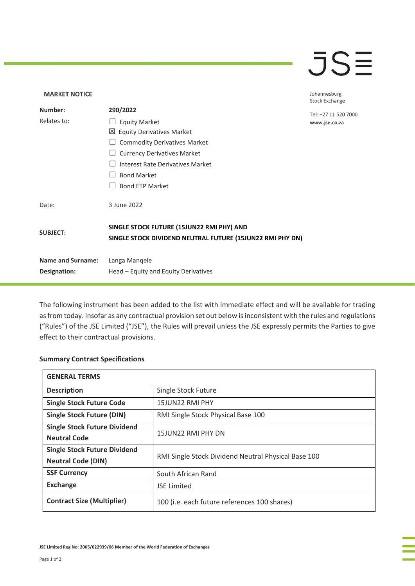## $\overline{\mathsf{J}}\mathsf{S}\overline{\mathsf{H}}$

## **MARKET NOTICE** Johannesburg **Stock Exchange Number: 290/2022** Tel: +27 11 520 7000 Relates to: □ Equity Market www.jse.co.za Equity Derivatives Market ☐ Commodity Derivatives Market □ Currency Derivatives Market ☐ Interest Rate Derivatives Market ☐ Bond Market □ Bond ETP Market Date: 3 June 2022 **SINGLE STOCK FUTURE (15JUN22 RMI PHY) AND SUBJECT: SINGLE STOCK DIVIDEND NEUTRAL FUTURE (15JUN22 RMI PHY DN) Name and Surname:** Langa Manqele **Designation:** Head – Equity and Equity Derivatives

The following instrument has been added to the list with immediate effect and will be available for trading as from today. Insofar as any contractual provision set out below is inconsistent with the rules and regulations ("Rules") of the JSE Limited ("JSE"), the Rules will prevail unless the JSE expressly permits the Parties to give effect to their contractual provisions.

## **Summary Contract Specifications**

| <b>GENERAL TERMS</b>                |                                                     |
|-------------------------------------|-----------------------------------------------------|
| <b>Description</b>                  | Single Stock Future                                 |
| <b>Single Stock Future Code</b>     | 15JUN22 RMI PHY                                     |
| <b>Single Stock Future (DIN)</b>    | RMI Single Stock Physical Base 100                  |
| <b>Single Stock Future Dividend</b> | 15JUN22 RMI PHY DN                                  |
| <b>Neutral Code</b>                 |                                                     |
| <b>Single Stock Future Dividend</b> | RMI Single Stock Dividend Neutral Physical Base 100 |
| <b>Neutral Code (DIN)</b>           |                                                     |
| <b>SSF Currency</b>                 | South African Rand                                  |
| <b>Exchange</b>                     | <b>JSE Limited</b>                                  |
| <b>Contract Size (Multiplier)</b>   | 100 (i.e. each future references 100 shares)        |

**JSE Limited Reg No: 2005/022939/06 Member of the World Federation of Exchanges**